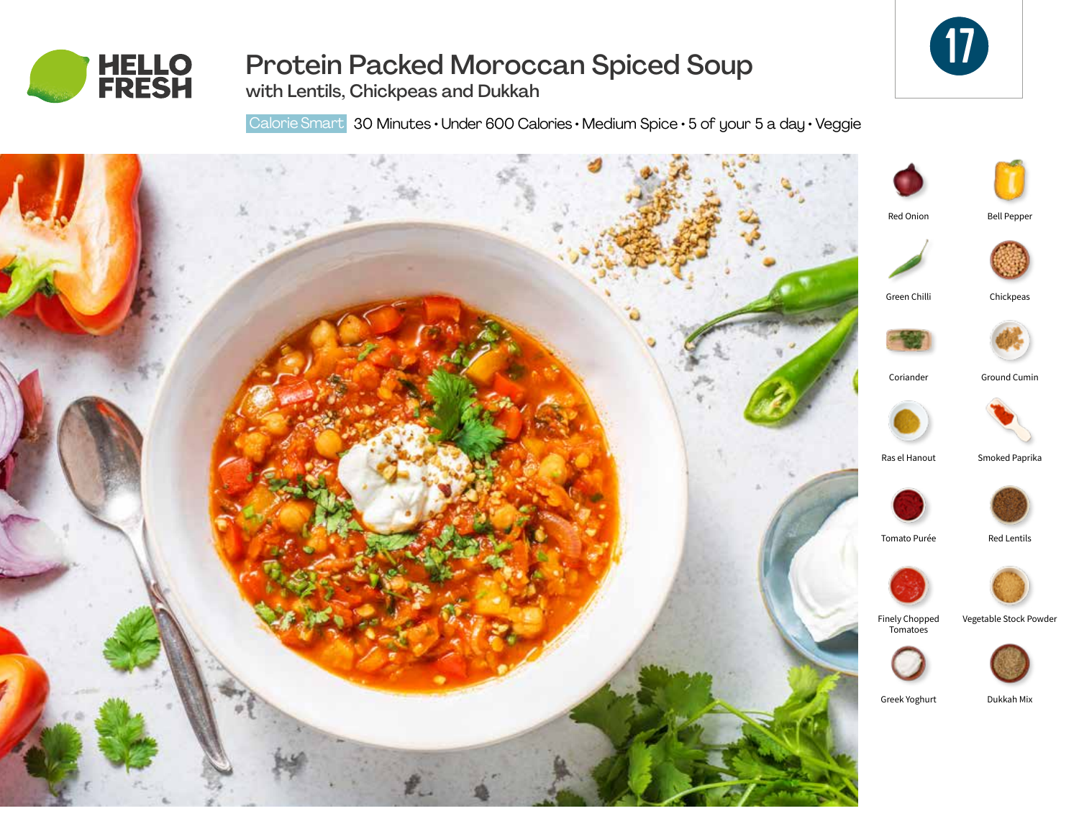



# Protein Packed Moroccan Spiced Soup

with Lentils, Chickpeas and Dukkah

Calorie Smart 30 Minutes • Under 600 Calories • Medium Spice • 5 of your 5 a day • Veggie